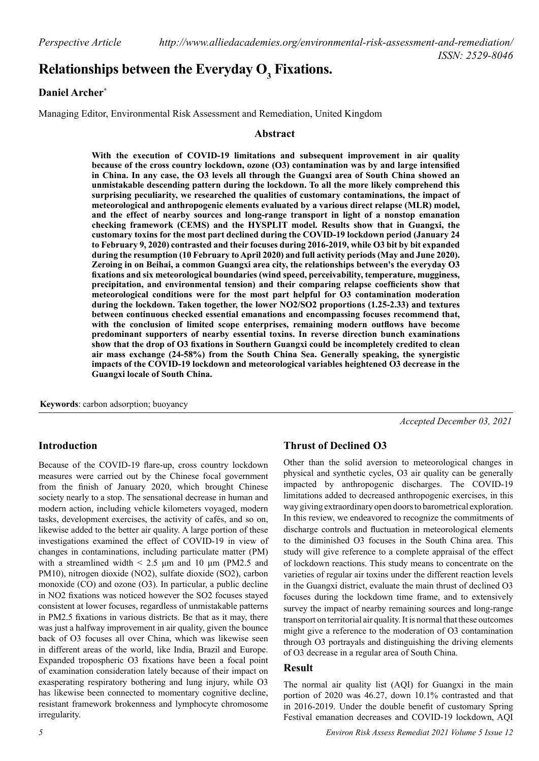# **Relationships between the Everyday**  $\textbf{O}_\textbf{3}$  **Fixations.**

#### **Daniel Archer\***

Managing Editor, Environmental Risk Assessment and Remediation, United Kingdom

#### **Abstract**

**With the execution of COVID-19 limitations and subsequent improvement in air quality because of the cross country lockdown, ozone (O3) contamination was by and large intensified in China. In any case, the O3 levels all through the Guangxi area of South China showed an unmistakable descending pattern during the lockdown. To all the more likely comprehend this surprising peculiarity, we researched the qualities of customary contaminations, the impact of meteorological and anthropogenic elements evaluated by a various direct relapse (MLR) model, and the effect of nearby sources and long-range transport in light of a nonstop emanation checking framework (CEMS) and the HYSPLIT model. Results show that in Guangxi, the customary toxins for the most part declined during the COVID-19 lockdown period (January 24 to February 9, 2020) contrasted and their focuses during 2016-2019, while O3 bit by bit expanded during the resumption (10 February to April 2020) and full activity periods (May and June 2020). Zeroing in on Beihai, a common Guangxi area city, the relationships between's the everyday O3 fixations and six meteorological boundaries (wind speed, perceivability, temperature, mugginess, precipitation, and environmental tension) and their comparing relapse coefficients show that meteorological conditions were for the most part helpful for O3 contamination moderation during the lockdown. Taken together, the lower NO2/SO2 proportions (1.25-2.33) and textures between continuous checked essential emanations and encompassing focuses recommend that, with the conclusion of limited scope enterprises, remaining modern outflows have become predominant supporters of nearby essential toxins. In reverse direction bunch examinations show that the drop of O3 fixations in Southern Guangxi could be incompletely credited to clean air mass exchange (24-58%) from the South China Sea. Generally speaking, the synergistic impacts of the COVID-19 lockdown and meteorological variables heightened O3 decrease in the Guangxi locale of South China.**

**Keywords**: carbon adsorption; buoyancy

*Accepted December 03, 2021*

## **Introduction**

Because of the COVID-19 flare-up, cross country lockdown measures were carried out by the Chinese focal government from the finish of January 2020, which brought Chinese society nearly to a stop. The sensational decrease in human and modern action, including vehicle kilometers voyaged, modern tasks, development exercises, the activity of cafés, and so on, likewise added to the better air quality. A large portion of these investigations examined the effect of COVID-19 in view of changes in contaminations, including particulate matter (PM) with a streamlined width  $\leq 2.5$  μm and 10 μm (PM2.5 and PM10), nitrogen dioxide (NO2), sulfate dioxide (SO2), carbon monoxide (CO) and ozone (O3). In particular, a public decline in NO2 fixations was noticed however the SO2 focuses stayed consistent at lower focuses, regardless of unmistakable patterns in PM2.5 fixations in various districts. Be that as it may, there was just a halfway improvement in air quality, given the bounce back of O3 focuses all over China, which was likewise seen in different areas of the world, like India, Brazil and Europe. Expanded tropospheric O3 fixations have been a focal point of examination consideration lately because of their impact on exasperating respiratory bothering and lung injury, while O3 has likewise been connected to momentary cognitive decline, resistant framework brokenness and lymphocyte chromosome irregularity.

## **Thrust of Declined O3**

Other than the solid aversion to meteorological changes in physical and synthetic cycles, O3 air quality can be generally impacted by anthropogenic discharges. The COVID-19 limitations added to decreased anthropogenic exercises, in this way giving extraordinary open doors to barometrical exploration. In this review, we endeavored to recognize the commitments of discharge controls and fluctuation in meteorological elements to the diminished O3 focuses in the South China area. This study will give reference to a complete appraisal of the effect of lockdown reactions. This study means to concentrate on the varieties of regular air toxins under the different reaction levels in the Guangxi district, evaluate the main thrust of declined O3 focuses during the lockdown time frame, and to extensively survey the impact of nearby remaining sources and long-range transport on territorial air quality. It is normal that these outcomes might give a reference to the moderation of O3 contamination through O3 portrayals and distinguishing the driving elements of O3 decrease in a regular area of South China.

#### **Result**

The normal air quality list (AQI) for Guangxi in the main portion of 2020 was 46.27, down 10.1% contrasted and that in 2016-2019. Under the double benefit of customary Spring Festival emanation decreases and COVID-19 lockdown, AQI